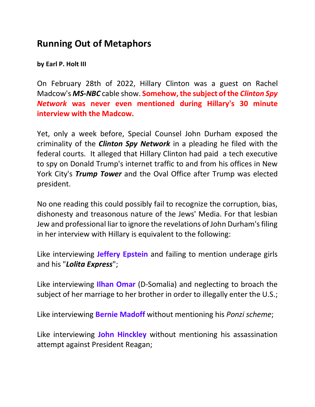## **Running Out of Metaphors**

**by Earl P. Holt III**

On February 28th of 2022, Hillary Clinton was a guest on Rachel Madcow's *MS-NBC* cable show. **Somehow, the subject of the** *Clinton Spy Network* **was never even mentioned during Hillary's 30 minute interview with the Madcow.**

Yet, only a week before, Special Counsel John Durham exposed the criminality of the *Clinton Spy Network* in a pleading he filed with the federal courts. It alleged that Hillary Clinton had paid a tech executive to spy on Donald Trump's internet traffic to and from his offices in New York City's *Trump Tower* and the Oval Office after Trump was elected president.

No one reading this could possibly fail to recognize the corruption, bias, dishonesty and treasonous nature of the Jews' Media. For that lesbian Jew and professional liar to ignore the revelations of John Durham's filing in her interview with Hillary is equivalent to the following:

Like interviewing **Jeffery Epstein** and failing to mention underage girls and his "*Lolita Express*";

Like interviewing **Ilhan Omar** (D-Somalia) and neglecting to broach the subject of her marriage to her brother in order to illegally enter the U.S.;

Like interviewing **Bernie Madoff** without mentioning his *Ponzi scheme*;

Like interviewing **John Hinckley** without mentioning his assassination attempt against President Reagan;